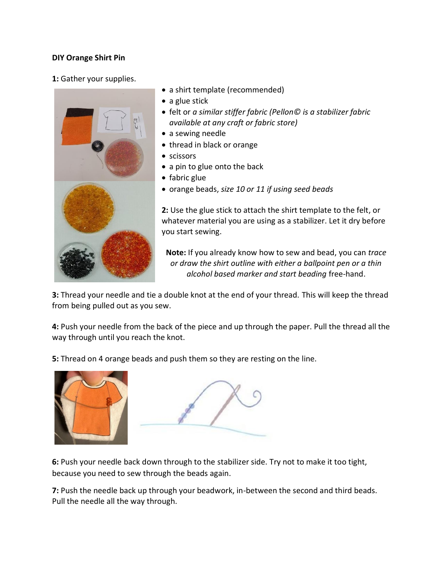## **DIY Orange Shirt Pin**

**1:** Gather your supplies.



- a shirt template (recommended)
- a glue stick
- felt or *a similar stiffer fabric (Pellon© is a stabilizer fabric available at any craft or fabric store)*
- a sewing needle
- thread in black or orange
- **•** scissors
- a pin to glue onto the back
- fabric glue
- orange beads, *size 10 or 11 if using seed beads*

**2:** Use the glue stick to attach the shirt template to the felt, or whatever material you are using as a stabilizer. Let it dry before you start sewing.

**Note:** If you already know how to sew and bead, you can *trace or draw the shirt outline with either a ballpoint pen or a thin alcohol based marker and start beading* free-hand.

**3:** Thread your needle and tie a double knot at the end of your thread. This will keep the thread from being pulled out as you sew.

**4:** Push your needle from the back of the piece and up through the paper. Pull the thread all the way through until you reach the knot.

**5:** Thread on 4 orange beads and push them so they are resting on the line.





**6:** Push your needle back down through to the stabilizer side. Try not to make it too tight, because you need to sew through the beads again.

**7:** Push the needle back up through your beadwork, in-between the second and third beads. Pull the needle all the way through.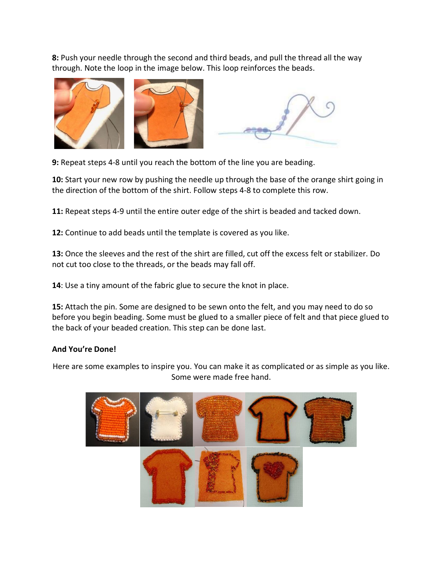**8:** Push your needle through the second and third beads, and pull the thread all the way through. Note the loop in the image below. This loop reinforces the beads.



**9:** Repeat steps 4-8 until you reach the bottom of the line you are beading.

**10:** Start your new row by pushing the needle up through the base of the orange shirt going in the direction of the bottom of the shirt. Follow steps 4-8 to complete this row.

**11:** Repeat steps 4-9 until the entire outer edge of the shirt is beaded and tacked down.

**12:** Continue to add beads until the template is covered as you like.

**13:** Once the sleeves and the rest of the shirt are filled, cut off the excess felt or stabilizer. Do not cut too close to the threads, or the beads may fall off.

**14**: Use a tiny amount of the fabric glue to secure the knot in place.

**15:** Attach the pin. Some are designed to be sewn onto the felt, and you may need to do so before you begin beading. Some must be glued to a smaller piece of felt and that piece glued to the back of your beaded creation. This step can be done last.

## **And You're Done!**

Here are some examples to inspire you. You can make it as complicated or as simple as you like. Some were made free hand.